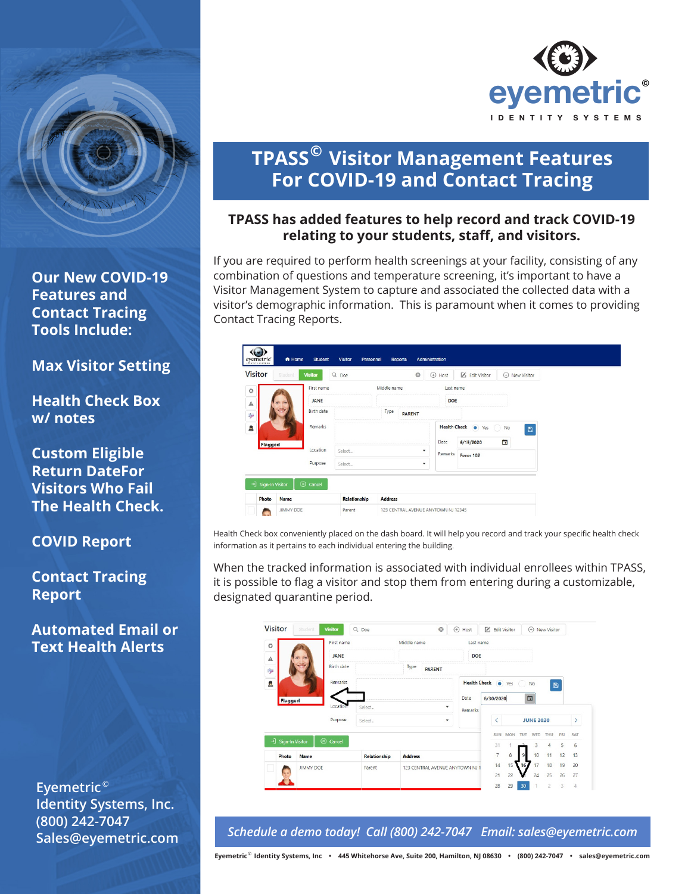

**Our New COVID-19 Features and Contact Tracing Tools Include:** 

**Max Visitor Setting**

**Health Check Box w/ notes**

**Custom Eligible Return DateFor Visitors Who Fail The Health Check.**

**COVID Report**

**Contact Tracing Report**

**Automated Email or Text Health Alerts**

**Eyemetric**  © **Identity Systems, Inc. (800) 242-7047 Sales@eyemetric.com**



## **TPASS Visitor Management Features © For COVID-19 and Contact Tracing**

## **TPASS has added features to help record and track COVID-19 relating to your students, staff, and visitors.**

If you are required to perform health screenings at your facility, consisting of any combination of questions and temperature screening, it's important to have a Visitor Management System to capture and associated the collected data with a visitor's demographic information. This is paramount when it comes to providing Contact Tracing Reports.

| <b>Visitor</b><br>Student | <b>Visitor</b> | Q Doe  | $\circledcirc$        | $(+)$<br>Host | <b>Z</b> i Edit Visitor | (+) New Visitor                 |
|---------------------------|----------------|--------|-----------------------|---------------|-------------------------|---------------------------------|
| o                         | First name     |        | Middle name           | Last name     |                         |                                 |
| А                         | <b>JANE</b>    |        |                       | <b>DOE</b>    |                         |                                 |
| <b>Reps</b>               | Birth date     |        | Type<br><b>PARENT</b> |               |                         |                                 |
| Δ                         | Remarks        |        |                       |               | Health Check @ Yes      | No<br>$\mathbb{C}$<br>$\boxdot$ |
| Flagged                   |                |        |                       | Date          | 6/15/2020               | ö                               |
|                           | Location       | Select |                       | Remarks       | Fever 102               |                                 |
|                           | Purpose        | Select | $\checkmark$          |               |                         |                                 |

Health Check box conveniently placed on the dash board. It will help you record and track your specific health check information as it pertains to each individual entering the building.

When the tracked information is associated with individual enrollees within TPASS, it is possible to flag a visitor and stop them from entering during a customizable, designated quarantine period.

| <b>Visitor</b>     | <b>Student</b> | <b>Visitor</b>     | Q Doe               | $\odot$                       | ⊕<br>Host  | Edit Visitor       |                 |            | $\circledast$ | New Visitor |               |     |
|--------------------|----------------|--------------------|---------------------|-------------------------------|------------|--------------------|-----------------|------------|---------------|-------------|---------------|-----|
| o                  |                | First name         |                     | Last name                     |            |                    |                 |            |               |             |               |     |
| $\mathbb A$        |                | <b>JANE</b>        |                     |                               | <b>DOE</b> |                    |                 |            |               |             |               |     |
| <b>Lys</b>         |                | <b>Birth date</b>  |                     |                               |            |                    |                 |            |               |             |               |     |
| Ŀ                  |                | Remarks            |                     |                               |            | Health Check @ Yes |                 |            | <b>No</b>     |             | $\boxplus$    |     |
| Flagged            |                |                    |                     |                               | Date       | 6/30/2020          |                 |            | 面             |             |               |     |
|                    |                | Location           | Select              | Remarks                       |            |                    |                 |            |               |             |               |     |
|                    |                | Purpose            | Select              | $\check{}$                    | ≺          | <b>JUNE 2020</b>   |                 |            |               |             | $\mathcal{P}$ |     |
|                    |                |                    |                     |                               |            | SUN                | <b>MON</b>      | <b>TUF</b> | <b>WED</b>    | THU         | <b>FRI</b>    | SAT |
| -] Sign-In Visitor |                | $\circledR$ Cancel |                     |                               |            | 31                 |                 |            |               | 4           | 5             | 6   |
| Photo              | <b>Name</b>    |                    | <b>Relationship</b> | <b>Address</b>                |            | $\overline{7}$     | 8               |            | 10            | 11          | 12            | 13  |
| <b>JIMMY DOE</b>   |                |                    | <b>Parent</b>       | 123 CENTRAL AVENUE ANYTOWN NJ | 14         | 15 <sup>1</sup>    | 16 <sub>2</sub> | 17         | 18            | 19          | 20            |     |
|                    |                |                    |                     |                               |            |                    | 22              |            | 24            | 25          | 26            | 27  |
|                    |                |                    |                     |                               |            | 28                 | 29              | 30         |               | 2           | 3             | 4   |

*Schedule a demo today! Call (800) 242-7047 Email: sales@eyemetric.com*